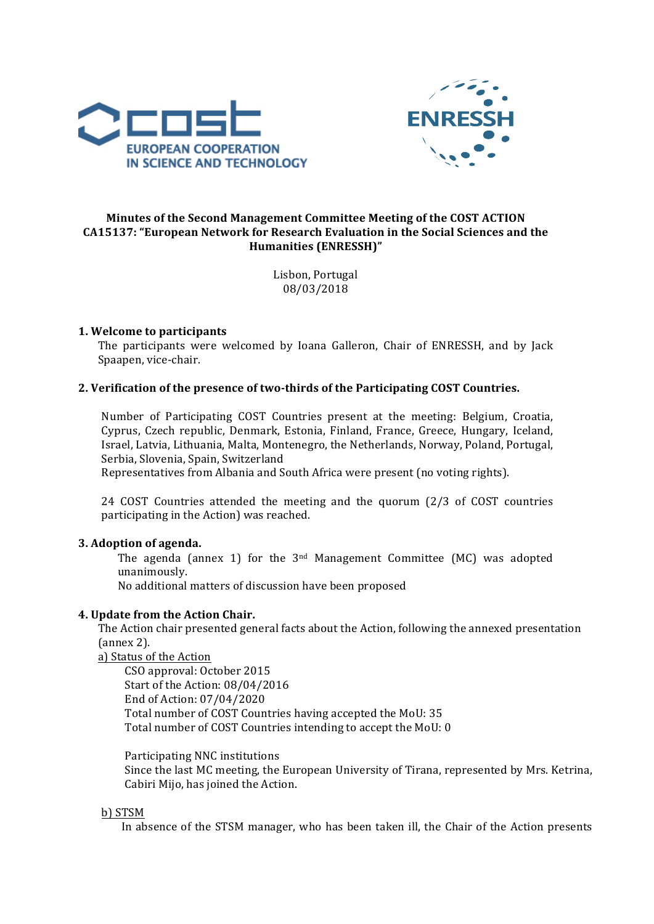



### **Minutes of the Second Management Committee Meeting of the COST ACTION** CA15137: "European Network for Research Evaluation in the Social Sciences and the **Humanities (ENRESSH)"**

Lisbon, Portugal 08/03/2018

## **1. Welcome to participants**

The participants were welcomed by Ioana Galleron, Chair of ENRESSH, and by Jack Spaapen, vice-chair.

## **2. Verification of the presence of two-thirds of the Participating COST Countries.**

Number of Participating COST Countries present at the meeting: Belgium, Croatia, Cyprus, Czech republic, Denmark, Estonia, Finland, France, Greece, Hungary, Iceland, Israel, Latvia, Lithuania, Malta, Montenegro, the Netherlands, Norway, Poland, Portugal, Serbia, Slovenia, Spain, Switzerland

Representatives from Albania and South Africa were present (no voting rights).

24 COST Countries attended the meeting and the quorum  $(2/3)$  of COST countries participating in the Action) was reached.

### **3. Adoption of agenda.**

The agenda (annex 1) for the  $3<sup>nd</sup>$  Management Committee (MC) was adopted unanimously.

No additional matters of discussion have been proposed

### **4.** Update from the Action Chair.

The Action chair presented general facts about the Action, following the annexed presentation  ${\rm (annex 2)}$ .

a) Status of the Action

CSO approval: October 2015 Start of the Action: 08/04/2016 End of Action: 07/04/2020 Total number of COST Countries having accepted the MoU: 35 Total number of COST Countries intending to accept the MoU: 0

Participating NNC institutions Since the last MC meeting, the European University of Tirana, represented by Mrs. Ketrina, Cabiri Mijo, has joined the Action.

# b) STSM

In absence of the STSM manager, who has been taken ill, the Chair of the Action presents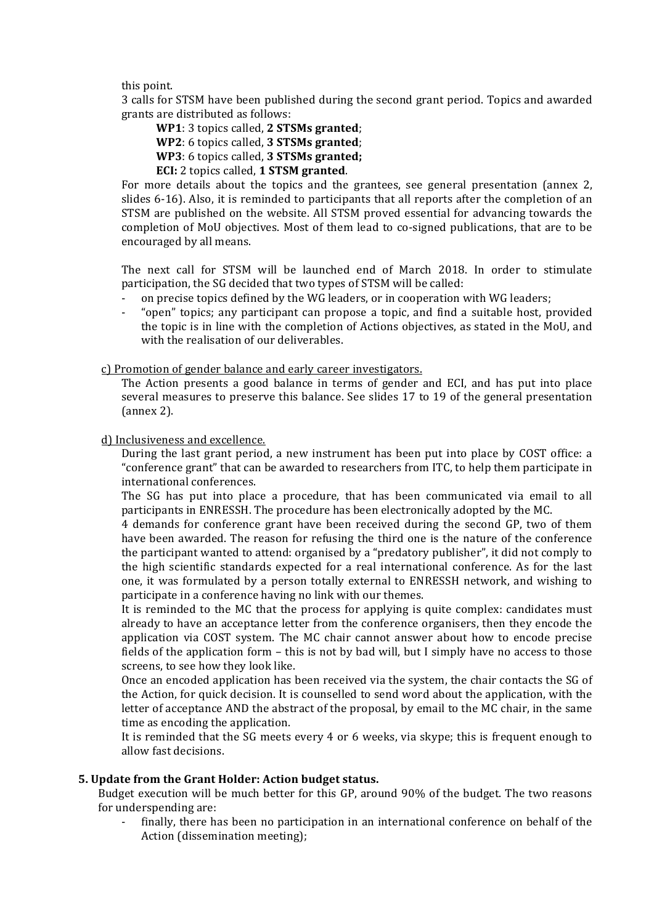this point.

3 calls for STSM have been published during the second grant period. Topics and awarded grants are distributed as follows:

**WP1**: 3 topics called, 2 **STSMs** granted: **WP2**: 6 topics called, **3 STSMs granted**; **WP3**: 6 topics called, **3 STSMs granted; ECI:** 2 topics called, 1 **STSM** granted.

For more details about the topics and the grantees, see general presentation (annex 2, slides 6-16). Also, it is reminded to participants that all reports after the completion of an STSM are published on the website. All STSM proved essential for advancing towards the completion of MoU objectives. Most of them lead to co-signed publications, that are to be encouraged by all means.

The next call for STSM will be launched end of March 2018. In order to stimulate participation, the SG decided that two types of STSM will be called:

- on precise topics defined by the WG leaders, or in cooperation with WG leaders;
- "open" topics; any participant can propose a topic, and find a suitable host, provided the topic is in line with the completion of Actions objectives, as stated in the MoU, and with the realisation of our deliverables.

c) Promotion of gender balance and early career investigators.

The Action presents a good balance in terms of gender and ECI, and has put into place several measures to preserve this balance. See slides 17 to 19 of the general presentation  ${\rm (annex 2)}$ .

d) Inclusiveness and excellence.

During the last grant period, a new instrument has been put into place by COST office: a "conference grant" that can be awarded to researchers from ITC, to help them participate in international conferences.

The SG has put into place a procedure, that has been communicated via email to all participants in ENRESSH. The procedure has been electronically adopted by the MC.

4 demands for conference grant have been received during the second GP, two of them have been awarded. The reason for refusing the third one is the nature of the conference the participant wanted to attend: organised by a "predatory publisher", it did not comply to the high scientific standards expected for a real international conference. As for the last one, it was formulated by a person totally external to ENRESSH network, and wishing to participate in a conference having no link with our themes.

It is reminded to the MC that the process for applying is quite complex: candidates must already to have an acceptance letter from the conference organisers, then they encode the application via COST system. The MC chair cannot answer about how to encode precise fields of the application form  $-$  this is not by bad will, but I simply have no access to those screens, to see how they look like.

Once an encoded application has been received via the system, the chair contacts the SG of the Action, for quick decision. It is counselled to send word about the application, with the letter of acceptance AND the abstract of the proposal, by email to the MC chair, in the same time as encoding the application.

It is reminded that the  $SG$  meets every 4 or 6 weeks, via skype; this is frequent enough to allow fast decisions.

### **5.** Update from the Grant Holder: Action budget status.

Budget execution will be much better for this GP, around 90% of the budget. The two reasons for underspending are:

finally, there has been no participation in an international conference on behalf of the Action (dissemination meeting);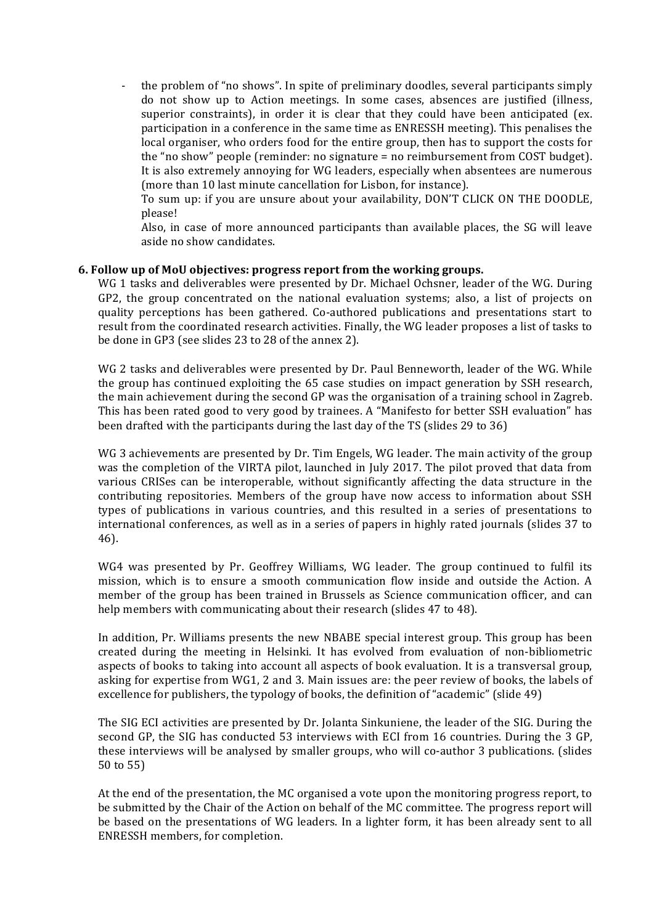the problem of "no shows". In spite of preliminary doodles, several participants simply do not show up to Action meetings. In some cases, absences are justified (illness, superior constraints), in order it is clear that they could have been anticipated (ex. participation in a conference in the same time as ENRESSH meeting). This penalises the local organiser, who orders food for the entire group, then has to support the costs for the "no show" people (reminder: no signature  $=$  no reimbursement from COST budget). It is also extremely annoying for WG leaders, especially when absentees are numerous (more than 10 last minute cancellation for Lisbon, for instance).

To sum up: if you are unsure about your availability, DON'T CLICK ON THE DOODLE, please!

Also, in case of more announced participants than available places, the SG will leave aside no show candidates.

#### **6. Follow up of MoU objectives: progress report from the working groups.**

WG 1 tasks and deliverables were presented by Dr. Michael Ochsner, leader of the WG. During  $GP2$ , the group concentrated on the national evaluation systems; also, a list of projects on quality perceptions has been gathered. Co-authored publications and presentations start to result from the coordinated research activities. Finally, the WG leader proposes a list of tasks to be done in GP3 (see slides 23 to 28 of the annex 2).

WG 2 tasks and deliverables were presented by Dr. Paul Benneworth, leader of the WG. While the group has continued exploiting the 65 case studies on impact generation by SSH research, the main achievement during the second GP was the organisation of a training school in Zagreb. This has been rated good to very good by trainees. A "Manifesto for better SSH evaluation" has been drafted with the participants during the last day of the TS (slides 29 to 36)

WG 3 achievements are presented by Dr. Tim Engels, WG leader. The main activity of the group was the completion of the VIRTA pilot, launched in July 2017. The pilot proved that data from various CRISes can be interoperable, without significantly affecting the data structure in the contributing repositories. Members of the group have now access to information about SSH types of publications in various countries, and this resulted in a series of presentations to international conferences, as well as in a series of papers in highly rated journals (slides 37 to 46).

WG4 was presented by Pr. Geoffrey Williams, WG leader. The group continued to fulfil its mission, which is to ensure a smooth communication flow inside and outside the Action. A member of the group has been trained in Brussels as Science communication officer, and can help members with communicating about their research (slides 47 to 48).

In addition, Pr. Williams presents the new NBABE special interest group. This group has been created during the meeting in Helsinki. It has evolved from evaluation of non-bibliometric aspects of books to taking into account all aspects of book evaluation. It is a transversal group, asking for expertise from WG1, 2 and 3. Main issues are: the peer review of books, the labels of excellence for publishers, the typology of books, the definition of "academic" (slide 49)

The SIG ECI activities are presented by Dr. Jolanta Sinkuniene, the leader of the SIG. During the second GP, the SIG has conducted 53 interviews with ECI from 16 countries. During the 3 GP, these interviews will be analysed by smaller groups, who will co-author 3 publications. (slides 50 to 55)

At the end of the presentation, the MC organised a vote upon the monitoring progress report, to be submitted by the Chair of the Action on behalf of the MC committee. The progress report will be based on the presentations of WG leaders. In a lighter form, it has been already sent to all ENRESSH members, for completion.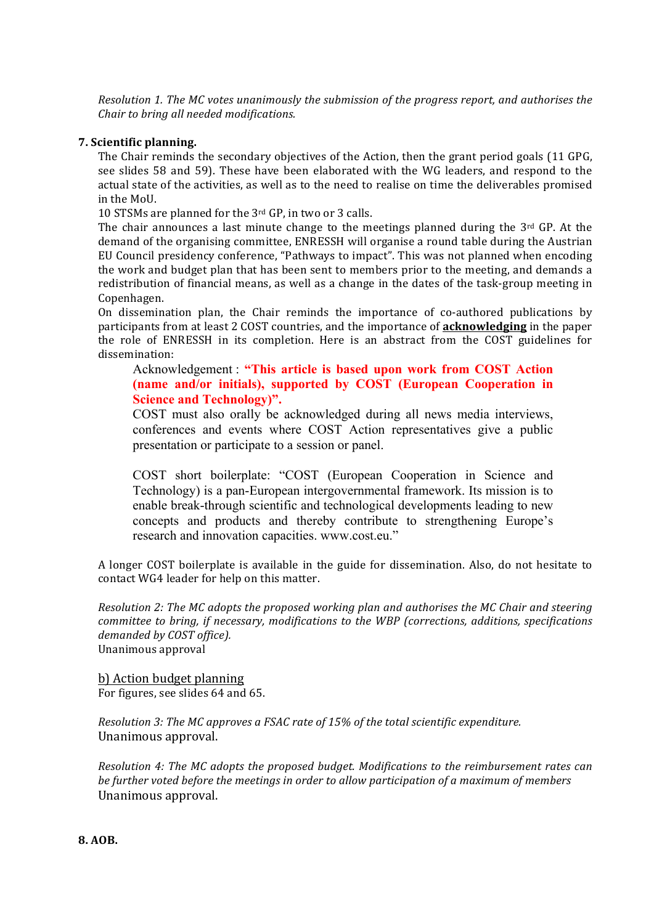*Resolution 1. The MC votes unanimously the submission of the progress report, and authorises the Chair to bring all needed modifications.* 

## **7. Scientific planning.**

The Chair reminds the secondary objectives of the Action, then the grant period goals (11 GPG, see slides 58 and 59). These have been elaborated with the WG leaders, and respond to the actual state of the activities, as well as to the need to realise on time the deliverables promised in the MoU.

10 STSMs are planned for the 3<sup>rd</sup> GP, in two or 3 calls.

The chair announces a last minute change to the meetings planned during the  $3<sup>rd</sup>$  GP. At the demand of the organising committee, ENRESSH will organise a round table during the Austrian EU Council presidency conference, "Pathways to impact". This was not planned when encoding the work and budget plan that has been sent to members prior to the meeting, and demands a redistribution of financial means, as well as a change in the dates of the task-group meeting in Copenhagen. 

On dissemination plan, the Chair reminds the importance of co-authored publications by participants from at least 2 COST countries, and the importance of **acknowledging** in the paper the role of ENRESSH in its completion. Here is an abstract from the COST guidelines for dissemination:

Acknowledgement : **"This article is based upon work from COST Action (name and/or initials), supported by COST (European Cooperation in Science and Technology)".**

COST must also orally be acknowledged during all news media interviews, conferences and events where COST Action representatives give a public presentation or participate to a session or panel.

COST short boilerplate: "COST (European Cooperation in Science and Technology) is a pan-European intergovernmental framework. Its mission is to enable break-through scientific and technological developments leading to new concepts and products and thereby contribute to strengthening Europe's research and innovation capacities. www.cost.eu."

A longer COST boilerplate is available in the guide for dissemination. Also, do not hesitate to contact WG4 leader for help on this matter.

*Resolution 2: The MC adopts the proposed working plan and authorises the MC Chair and steering committee to bring, if necessary, modifications to the WBP (corrections, additions, specifications demanded by COST office).* Unanimous approval

b) Action budget planning For figures, see slides 64 and 65.

*Resolution 3: The MC approves a FSAC rate of 15% of the total scientific expenditure.* Unanimous approval.

*Resolution 4: The MC adopts the proposed budget. Modifications to the reimbursement rates can* be further voted before the meetings in order to allow participation of a maximum of members Unanimous approval.